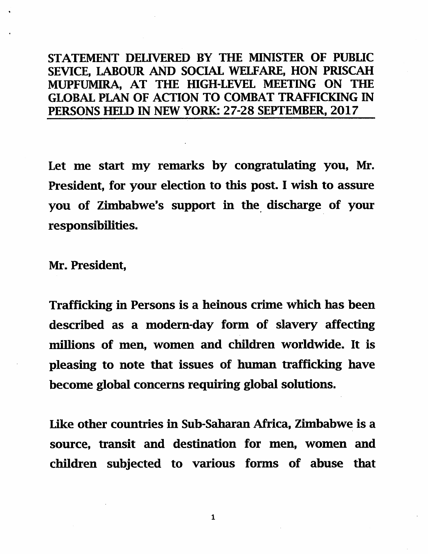## STATEMENT DELIVERED BY THE MINISTER OF PUBLIC SEVICE, LABOUR AND SOCIAL WELFARE, HON PRISCAH MUPFUMIRA, AT THE HIGH-LEVEL MEETING ON THE GLOBAL PLAN OF ACTION TO COMBAT TRAFFICKING IN PERSONS HELD IN NEW YORK: 27-28 SEPTEMBER, 2017

Let me start my remarks by congratulating you, Mr. President, for your election to tbis post. I wish to assure you of Zimbabwe's support in the discharge of your responsibilities.

Mr. President,

Trafficking in Persons is a heinous crime which has been described as a modern-day form of slavery affecting millions of men, women and children worldwide. It is pleasing to note that issues of human trafficking have become global concerns requiring global solutions.

Like other countries in Sub-Saharan Africa, Zimbabwe is a source, transit and destination for men, women and children subjected to various forms of abuse that

 $\mathbf{1}$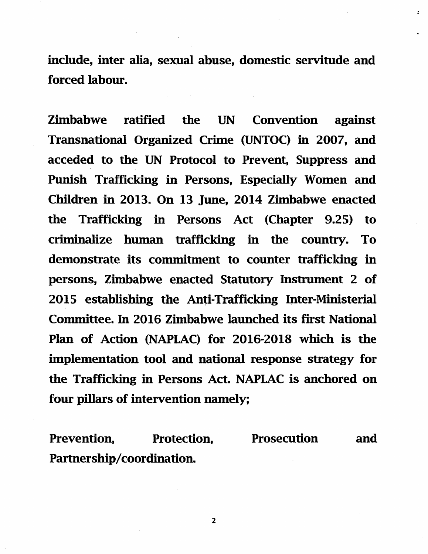include, inter alia, sexual abuse, domestic servitude and forced labour.

Zimbabwe ratified the UN Convention against Transnational Organized Crime (UNTOC) in 2007, and acceded to the UN Protocol to Prevent, Suppress and Punish Trafficking in Persons, Especially Women and Children in 2013. On 13 June, 2014 Zimbabwe enacted the Trafficking in Persons Act (Chapter 9.25) to criminalize human trafficking in the country. To demonstrate its commitment to counter trafficking in persons, Zimbabwe enacted Statutory Instrument 2 of 2015 establishing the Anti-Trafficking Inter-Ministerial Committee. In 2016 Zimbabwe launched its first National Plan of Action (NAPLAC) for 2016-2018 which is the implementation tool and national response strategy for the Trafficking in Persons Act. NAPLAC is anchored on four pillars of intervention namely;

Prevention, Protection, Prosecution and Partnership/coordination.

 $\overline{2}$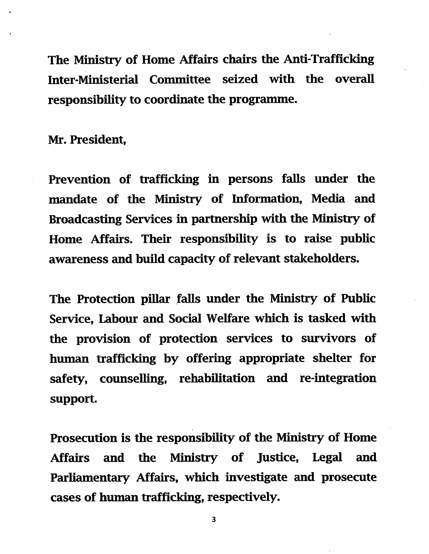The Ministry of Home Affairs chairs the Anti-Trafficking Inter-Ministerial Committee seized with the overall responsibility to coordinate the programme.

Mr. President,

Prevention of trafficking in persons falls under the mandate of the Ministry of Information, Media and Broadcasting Services in partnership with the Ministry of Home Affairs. Their responsibility is to raise public awareness and build capacity of relevant stakeholders.

The Protection pillar falls under the Ministry of Public Service, Labour and Social Welfare which is tasked with the provision of protection services to survivors of human trafficking by offering appropriate shelter for safety, counselling, rehabilitation and re-integration support.

Prosecution is the responsibility of the Ministry of Home Affairs and the Ministry of Justice, Legal and Parliamentary Affairs, which investigate and prosecute cases of human trafficking, respectively.

 $\overline{3}$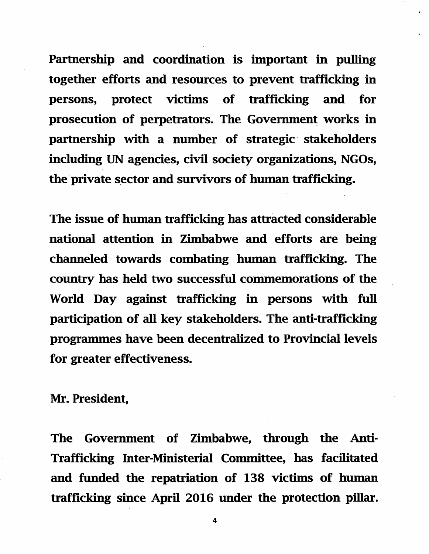Partnership and coordination is important in pulling together efforts and resources to prevent trafficking in persons, protect victims of trafficking and for prosecution of perpetrators. The Government works in partnership with a number of strategic stakeholders including UN agencies, civil society organizations, NGOs, the private sector and survivors of human trafficking.

The issue of human trafficking has attracted considerable national attention in Zimbabwe and efforts are being channeled towards combating human trafficking. The country has held two successful commemorations of the World Day against trafficking in persons with full participation of all key stakeholders. The anti-trafficking programmes have been decentralized to Provincial levels for greater effectiveness.

Mr. President,

The Government of Zimbabwe, through the Anti-Trafficking Inter-Ministerial Committee, has facilitated and funded the repatriation of 138 victims of human trafficking since April 2016 under the protection pillar.

 $\overline{\mathbf{4}}$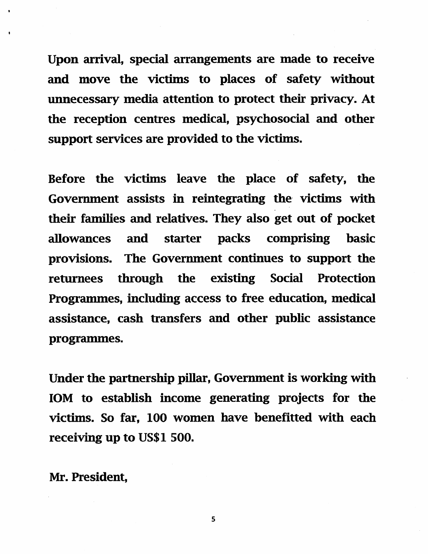Upon arrival, special arrangements are made to receive and move the victims to places of safety without unnecessary media attention to protect their privacy. At the reception centres medical, psychosocial and other support services are provided to the victims.

Before the victims leave the place of safety, the Government assists in reintegrating the victims with their families and relatives. They also get out of pocket allowances and starter packs comprising hasic provisions. The Government continues to support the returnees through the existing Social Protection Programmes, including access to free education, medical assistance, cash transfers and other public assistance programmes.

Under the partnership pillar. Government is working with lOM to establish income generating projects for the victims. So far, 100 women have benefitted with each receiving up to US\$1 500.

Mr. President,